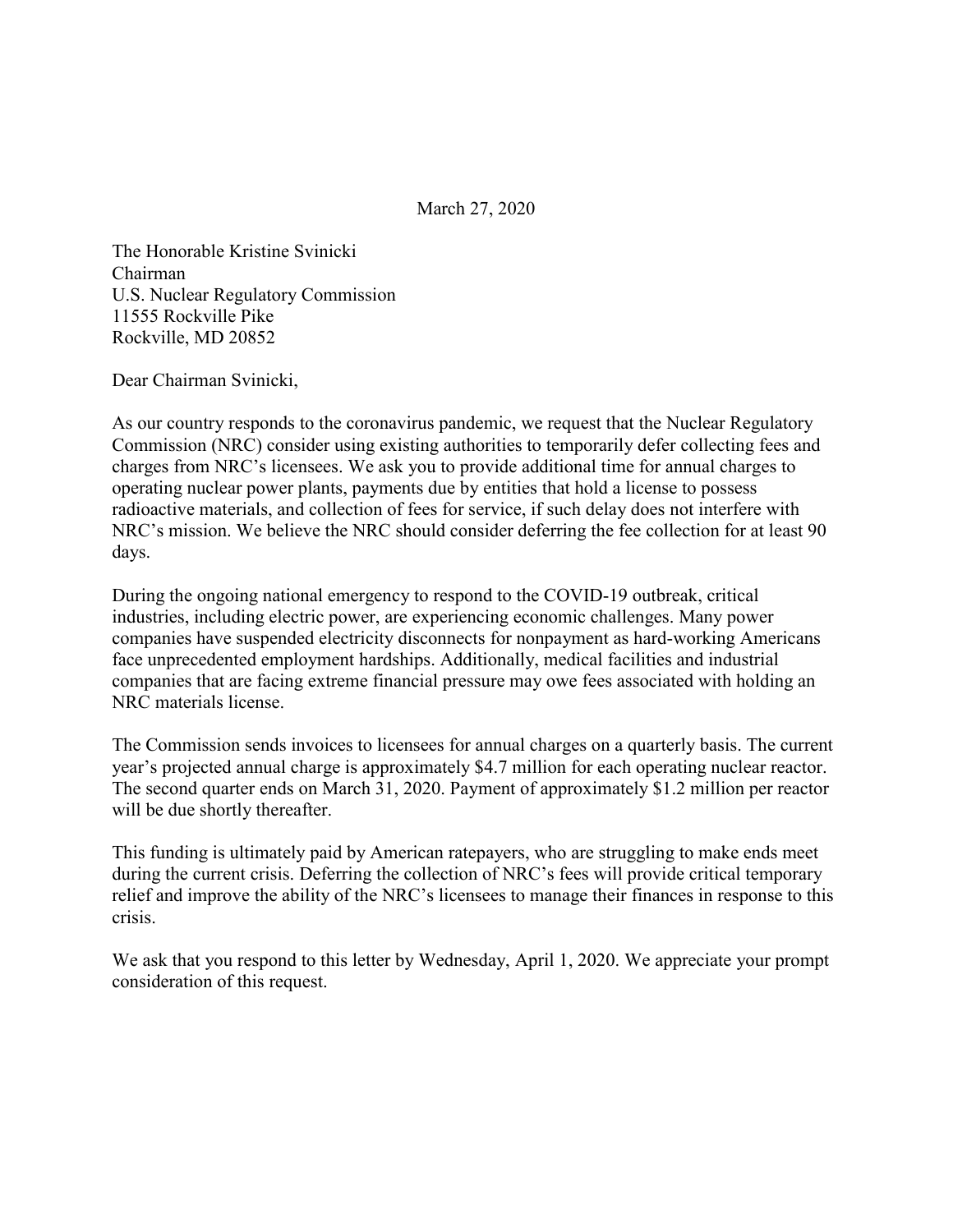March 27, 2020

The Honorable Kristine Svinicki Chairman U.S. Nuclear Regulatory Commission 11555 Rockville Pike Rockville, MD 20852

Dear Chairman Svinicki,

As our country responds to the coronavirus pandemic, we request that the Nuclear Regulatory Commission (NRC) consider using existing authorities to temporarily defer collecting fees and charges from NRC's licensees. We ask you to provide additional time for annual charges to operating nuclear power plants, payments due by entities that hold a license to possess radioactive materials, and collection of fees for service, if such delay does not interfere with NRC's mission. We believe the NRC should consider deferring the fee collection for at least 90 days.

During the ongoing national emergency to respond to the COVID-19 outbreak, critical industries, including electric power, are experiencing economic challenges. Many power companies have suspended electricity disconnects for nonpayment as hard-working Americans face unprecedented employment hardships. Additionally, medical facilities and industrial companies that are facing extreme financial pressure may owe fees associated with holding an NRC materials license.

The Commission sends invoices to licensees for annual charges on a quarterly basis. The current year's projected annual charge is approximately \$4.7 million for each operating nuclear reactor. The second quarter ends on March 31, 2020. Payment of approximately \$1.2 million per reactor will be due shortly thereafter.

This funding is ultimately paid by American ratepayers, who are struggling to make ends meet during the current crisis. Deferring the collection of NRC's fees will provide critical temporary relief and improve the ability of the NRC's licensees to manage their finances in response to this crisis.

We ask that you respond to this letter by Wednesday, April 1, 2020. We appreciate your prompt consideration of this request.